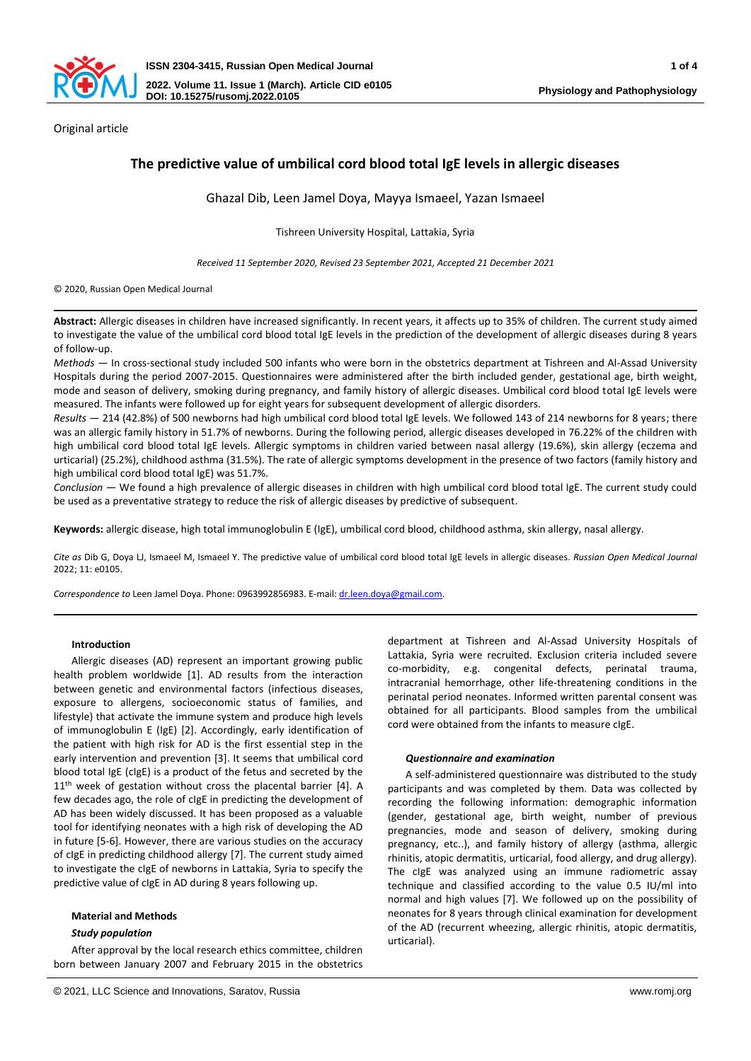

Original article

# **The predictive value of umbilical cord blood total IgE levels in allergic diseases**

Ghazal Dib, Leen Jamel Doya, Mayya Ismaeel, Yazan Ismaeel

Tishreen University Hospital, Lattakia, Syria

*Received 11 September 2020, Revised 23 September 2021, Accepted 21 December 2021*

© 2020, Russian Open Medical Journal

**Abstract:** Allergic diseases in children have increased significantly. In recent years, it affects up to 35% of children. The current study aimed to investigate the value of the umbilical cord blood total IgE levels in the prediction of the development of allergic diseases during 8 years of follow-up.

*Methods —* In cross-sectional study included 500 infants who were born in the obstetrics department at Tishreen and Al-Assad University Hospitals during the period 2007-2015. Questionnaires were administered after the birth included gender, gestational age, birth weight, mode and season of delivery, smoking during pregnancy, and family history of allergic diseases. Umbilical cord blood total IgE levels were measured. The infants were followed up for eight years for subsequent development of allergic disorders.

*Results —* 214 (42.8%) of 500 newborns had high umbilical cord blood total IgE levels. We followed 143 of 214 newborns for 8 years; there was an allergic family history in 51.7% of newborns. During the following period, allergic diseases developed in 76.22% of the children with high umbilical cord blood total IgE levels. Allergic symptoms in children varied between nasal allergy (19.6%), skin allergy (eczema and urticarial) (25.2%), childhood asthma (31.5%). The rate of allergic symptoms development in the presence of two factors (family history and high umbilical cord blood total IgE) was 51.7%.

*Conclusion —* We found a high prevalence of allergic diseases in children with high umbilical cord blood total IgE. The current study could be used as a preventative strategy to reduce the risk of allergic diseases by predictive of subsequent.

**Keywords:** allergic disease, high total immunoglobulin E (IgE), umbilical cord blood, childhood asthma, skin allergy, nasal allergy.

*Cite as* Dib G, Doya LJ, Ismaeel M, Ismaeel Y. The predictive value of umbilical cord blood total IgE levels in allergic diseases. *Russian Open Medical Journal* 2022; 11: e0105.

*Correspondence to* Leen Jamel Doya. Phone: 0963992856983. E-mail[: dr.leen.doya@gmail.com.](mailto:dr.leen.doya@gmail.com) 

## **Introduction**

Allergic diseases (AD) represent an important growing public health problem worldwide [1]. AD results from the interaction between genetic and environmental factors (infectious diseases, exposure to allergens, socioeconomic status of families, and lifestyle) that activate the immune system and produce high levels of immunoglobulin E (IgE) [2]. Accordingly, early identification of the patient with high risk for AD is the first essential step in the early intervention and prevention [3]. It seems that umbilical cord blood total IgE (cIgE) is a product of the fetus and secreted by the 11<sup>th</sup> week of gestation without cross the placental barrier [4]. A few decades ago, the role of cIgE in predicting the development of AD has been widely discussed. It has been proposed as a valuable tool for identifying neonates with a high risk of developing the AD in future [5-6]. However, there are various studies on the accuracy of cIgE in predicting childhood allergy [7]. The current study aimed to investigate the cIgE of newborns in Lattakia, Syria to specify the predictive value of cIgE in AD during 8 years following up.

## **Material and Methods**

## *Study population*

After approval by the local research ethics committee, children born between January 2007 and February 2015 in the obstetrics department at Tishreen and Al-Assad University Hospitals of Lattakia, Syria were recruited. Exclusion criteria included severe co-morbidity, e.g. congenital defects, perinatal trauma, intracranial hemorrhage, other life-threatening conditions in the perinatal period neonates. Informed written parental consent was obtained for all participants. Blood samples from the umbilical cord were obtained from the infants to measure cIgE.

## *Questionnaire and examination*

A self-administered questionnaire was distributed to the study participants and was completed by them. Data was collected by recording the following information: demographic information (gender, gestational age, birth weight, number of previous pregnancies, mode and season of delivery, smoking during pregnancy, etc..), and family history of allergy (asthma, allergic rhinitis, atopic dermatitis, urticarial, food allergy, and drug allergy). The cIgE was analyzed using an immune radiometric assay technique and classified according to the value 0.5 IU/ml into normal and high values [7]. We followed up on the possibility of neonates for 8 years through clinical examination for development of the AD (recurrent wheezing, allergic rhinitis, atopic dermatitis, urticarial).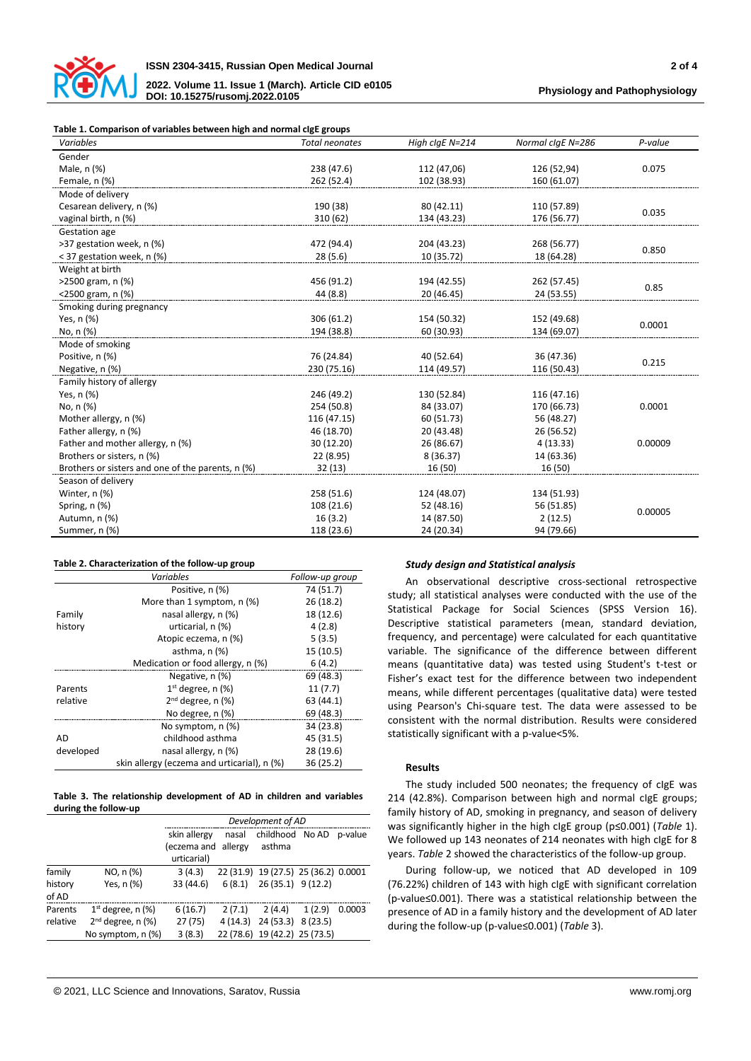

**2022. Volume 11. Issue 1 (March). Article CID e0105 DOI: 10.15275/rusomj.2022.0105**

## **Table 1. Comparison of variables between high and normal cIgE groups**

| Gender<br>0.075<br>Male, n (%)<br>238 (47.6)<br>112 (47,06)<br>126 (52,94)<br>Female, n (%)<br>262 (52.4)<br>102 (38.93)<br>160 (61.07)<br>Mode of delivery<br>190 (38)<br>Cesarean delivery, n (%)<br>80 (42.11)<br>110 (57.89)<br>0.035<br>vaginal birth, n (%)<br>310 (62)<br>134 (43.23)<br>176 (56.77)<br>Gestation age<br>>37 gestation week, n (%)<br>472 (94.4)<br>204 (43.23)<br>268 (56.77)<br>0.850<br>< 37 gestation week, n (%)<br>28(5.6)<br>10 (35.72)<br>18 (64.28)<br>Weight at birth<br>>2500 gram, n (%)<br>456 (91.2)<br>262 (57.45)<br>194 (42.55)<br>0.85<br><2500 gram, n (%)<br>44 (8.8)<br>20 (46.45)<br>24 (53.55)<br>Smoking during pregnancy<br>Yes, n (%)<br>306 (61.2)<br>154 (50.32)<br>152 (49.68)<br>0.0001<br>194 (38.8)<br>No, n (%)<br>60 (30.93)<br>134 (69.07)<br>Mode of smoking<br>Positive, n (%)<br>76 (24.84)<br>40 (52.64)<br>36 (47.36)<br>0.215<br>230 (75.16)<br>114 (49.57)<br>Negative, n (%)<br>116 (50.43)<br>Family history of allergy<br>Yes, n (%)<br>246 (49.2)<br>130 (52.84)<br>116 (47.16)<br>0.0001<br>No, n (%)<br>254 (50.8)<br>84 (33.07)<br>170 (66.73)<br>Mother allergy, n (%)<br>116 (47.15)<br>56 (48.27)<br>60 (51.73)<br>Father allergy, n (%)<br>46 (18.70)<br>20 (43.48)<br>26 (56.52)<br>Father and mother allergy, n (%)<br>26 (86.67)<br>0.00009<br>30 (12.20)<br>4(13.33)<br>Brothers or sisters, n (%)<br>22 (8.95)<br>8 (36.37)<br>14 (63.36)<br>Brothers or sisters and one of the parents, n (%)<br>32(13)<br>16 (50)<br>16 (50)<br>Season of delivery | Variables     | <b>Total neonates</b> | High clgE N=214 | Normal claE N=286 | P-value |  |
|---------------------------------------------------------------------------------------------------------------------------------------------------------------------------------------------------------------------------------------------------------------------------------------------------------------------------------------------------------------------------------------------------------------------------------------------------------------------------------------------------------------------------------------------------------------------------------------------------------------------------------------------------------------------------------------------------------------------------------------------------------------------------------------------------------------------------------------------------------------------------------------------------------------------------------------------------------------------------------------------------------------------------------------------------------------------------------------------------------------------------------------------------------------------------------------------------------------------------------------------------------------------------------------------------------------------------------------------------------------------------------------------------------------------------------------------------------------------------------------------------------------------------------------|---------------|-----------------------|-----------------|-------------------|---------|--|
|                                                                                                                                                                                                                                                                                                                                                                                                                                                                                                                                                                                                                                                                                                                                                                                                                                                                                                                                                                                                                                                                                                                                                                                                                                                                                                                                                                                                                                                                                                                                       |               |                       |                 |                   |         |  |
|                                                                                                                                                                                                                                                                                                                                                                                                                                                                                                                                                                                                                                                                                                                                                                                                                                                                                                                                                                                                                                                                                                                                                                                                                                                                                                                                                                                                                                                                                                                                       |               |                       |                 |                   |         |  |
|                                                                                                                                                                                                                                                                                                                                                                                                                                                                                                                                                                                                                                                                                                                                                                                                                                                                                                                                                                                                                                                                                                                                                                                                                                                                                                                                                                                                                                                                                                                                       |               |                       |                 |                   |         |  |
|                                                                                                                                                                                                                                                                                                                                                                                                                                                                                                                                                                                                                                                                                                                                                                                                                                                                                                                                                                                                                                                                                                                                                                                                                                                                                                                                                                                                                                                                                                                                       |               |                       |                 |                   |         |  |
|                                                                                                                                                                                                                                                                                                                                                                                                                                                                                                                                                                                                                                                                                                                                                                                                                                                                                                                                                                                                                                                                                                                                                                                                                                                                                                                                                                                                                                                                                                                                       |               |                       |                 |                   |         |  |
|                                                                                                                                                                                                                                                                                                                                                                                                                                                                                                                                                                                                                                                                                                                                                                                                                                                                                                                                                                                                                                                                                                                                                                                                                                                                                                                                                                                                                                                                                                                                       |               |                       |                 |                   |         |  |
|                                                                                                                                                                                                                                                                                                                                                                                                                                                                                                                                                                                                                                                                                                                                                                                                                                                                                                                                                                                                                                                                                                                                                                                                                                                                                                                                                                                                                                                                                                                                       |               |                       |                 |                   |         |  |
|                                                                                                                                                                                                                                                                                                                                                                                                                                                                                                                                                                                                                                                                                                                                                                                                                                                                                                                                                                                                                                                                                                                                                                                                                                                                                                                                                                                                                                                                                                                                       |               |                       |                 |                   |         |  |
|                                                                                                                                                                                                                                                                                                                                                                                                                                                                                                                                                                                                                                                                                                                                                                                                                                                                                                                                                                                                                                                                                                                                                                                                                                                                                                                                                                                                                                                                                                                                       |               |                       |                 |                   |         |  |
|                                                                                                                                                                                                                                                                                                                                                                                                                                                                                                                                                                                                                                                                                                                                                                                                                                                                                                                                                                                                                                                                                                                                                                                                                                                                                                                                                                                                                                                                                                                                       |               |                       |                 |                   |         |  |
|                                                                                                                                                                                                                                                                                                                                                                                                                                                                                                                                                                                                                                                                                                                                                                                                                                                                                                                                                                                                                                                                                                                                                                                                                                                                                                                                                                                                                                                                                                                                       |               |                       |                 |                   |         |  |
|                                                                                                                                                                                                                                                                                                                                                                                                                                                                                                                                                                                                                                                                                                                                                                                                                                                                                                                                                                                                                                                                                                                                                                                                                                                                                                                                                                                                                                                                                                                                       |               |                       |                 |                   |         |  |
|                                                                                                                                                                                                                                                                                                                                                                                                                                                                                                                                                                                                                                                                                                                                                                                                                                                                                                                                                                                                                                                                                                                                                                                                                                                                                                                                                                                                                                                                                                                                       |               |                       |                 |                   |         |  |
|                                                                                                                                                                                                                                                                                                                                                                                                                                                                                                                                                                                                                                                                                                                                                                                                                                                                                                                                                                                                                                                                                                                                                                                                                                                                                                                                                                                                                                                                                                                                       |               |                       |                 |                   |         |  |
|                                                                                                                                                                                                                                                                                                                                                                                                                                                                                                                                                                                                                                                                                                                                                                                                                                                                                                                                                                                                                                                                                                                                                                                                                                                                                                                                                                                                                                                                                                                                       |               |                       |                 |                   |         |  |
|                                                                                                                                                                                                                                                                                                                                                                                                                                                                                                                                                                                                                                                                                                                                                                                                                                                                                                                                                                                                                                                                                                                                                                                                                                                                                                                                                                                                                                                                                                                                       |               |                       |                 |                   |         |  |
|                                                                                                                                                                                                                                                                                                                                                                                                                                                                                                                                                                                                                                                                                                                                                                                                                                                                                                                                                                                                                                                                                                                                                                                                                                                                                                                                                                                                                                                                                                                                       |               |                       |                 |                   |         |  |
|                                                                                                                                                                                                                                                                                                                                                                                                                                                                                                                                                                                                                                                                                                                                                                                                                                                                                                                                                                                                                                                                                                                                                                                                                                                                                                                                                                                                                                                                                                                                       |               |                       |                 |                   |         |  |
|                                                                                                                                                                                                                                                                                                                                                                                                                                                                                                                                                                                                                                                                                                                                                                                                                                                                                                                                                                                                                                                                                                                                                                                                                                                                                                                                                                                                                                                                                                                                       |               |                       |                 |                   |         |  |
|                                                                                                                                                                                                                                                                                                                                                                                                                                                                                                                                                                                                                                                                                                                                                                                                                                                                                                                                                                                                                                                                                                                                                                                                                                                                                                                                                                                                                                                                                                                                       |               |                       |                 |                   |         |  |
|                                                                                                                                                                                                                                                                                                                                                                                                                                                                                                                                                                                                                                                                                                                                                                                                                                                                                                                                                                                                                                                                                                                                                                                                                                                                                                                                                                                                                                                                                                                                       |               |                       |                 |                   |         |  |
|                                                                                                                                                                                                                                                                                                                                                                                                                                                                                                                                                                                                                                                                                                                                                                                                                                                                                                                                                                                                                                                                                                                                                                                                                                                                                                                                                                                                                                                                                                                                       |               |                       |                 |                   |         |  |
|                                                                                                                                                                                                                                                                                                                                                                                                                                                                                                                                                                                                                                                                                                                                                                                                                                                                                                                                                                                                                                                                                                                                                                                                                                                                                                                                                                                                                                                                                                                                       |               |                       |                 |                   |         |  |
|                                                                                                                                                                                                                                                                                                                                                                                                                                                                                                                                                                                                                                                                                                                                                                                                                                                                                                                                                                                                                                                                                                                                                                                                                                                                                                                                                                                                                                                                                                                                       |               |                       |                 |                   |         |  |
|                                                                                                                                                                                                                                                                                                                                                                                                                                                                                                                                                                                                                                                                                                                                                                                                                                                                                                                                                                                                                                                                                                                                                                                                                                                                                                                                                                                                                                                                                                                                       |               |                       |                 |                   |         |  |
|                                                                                                                                                                                                                                                                                                                                                                                                                                                                                                                                                                                                                                                                                                                                                                                                                                                                                                                                                                                                                                                                                                                                                                                                                                                                                                                                                                                                                                                                                                                                       |               |                       |                 |                   |         |  |
|                                                                                                                                                                                                                                                                                                                                                                                                                                                                                                                                                                                                                                                                                                                                                                                                                                                                                                                                                                                                                                                                                                                                                                                                                                                                                                                                                                                                                                                                                                                                       |               |                       |                 |                   |         |  |
|                                                                                                                                                                                                                                                                                                                                                                                                                                                                                                                                                                                                                                                                                                                                                                                                                                                                                                                                                                                                                                                                                                                                                                                                                                                                                                                                                                                                                                                                                                                                       | Winter, n (%) | 258 (51.6)            | 124 (48.07)     | 134 (51.93)       |         |  |
| Spring, n (%)<br>108 (21.6)<br>52 (48.16)<br>56 (51.85)<br>0.00005                                                                                                                                                                                                                                                                                                                                                                                                                                                                                                                                                                                                                                                                                                                                                                                                                                                                                                                                                                                                                                                                                                                                                                                                                                                                                                                                                                                                                                                                    |               |                       |                 |                   |         |  |
| 16(3.2)<br>2(12.5)<br>Autumn, n (%)<br>14 (87.50)                                                                                                                                                                                                                                                                                                                                                                                                                                                                                                                                                                                                                                                                                                                                                                                                                                                                                                                                                                                                                                                                                                                                                                                                                                                                                                                                                                                                                                                                                     |               |                       |                 |                   |         |  |
| Summer, n (%)<br>118 (23.6)<br>24 (20.34)<br>94 (79.66)                                                                                                                                                                                                                                                                                                                                                                                                                                                                                                                                                                                                                                                                                                                                                                                                                                                                                                                                                                                                                                                                                                                                                                                                                                                                                                                                                                                                                                                                               |               |                       |                 |                   |         |  |

### **Table 2. Characterization of the follow-up group**

|           | Variables                                   | Follow-up group |
|-----------|---------------------------------------------|-----------------|
|           | Positive, n (%)                             | 74 (51.7)       |
|           | More than 1 symptom, n (%)                  | 26(18.2)        |
| Family    | nasal allergy, n (%)                        | 18 (12.6)       |
| history   | urticarial, n (%)                           | 4(2.8)          |
|           | Atopic eczema, n (%)                        | 5(3.5)          |
|           | asthma, $n$ $%$                             | 15 (10.5)       |
|           | Medication or food allergy, n (%)           | 6(4.2)          |
|           | Negative, n (%)                             | 69 (48.3)       |
| Parents   | $1st$ degree, n (%)                         | 11(7.7)         |
| relative  | $2nd$ degree, n (%)                         | 63 (44.1)       |
|           | No degree, n (%)                            | 69 (48.3)       |
|           | No symptom, n (%)                           | 34 (23.8)       |
| AD        | childhood asthma                            | 45 (31.5)       |
| developed | nasal allergy, n (%)                        | 28 (19.6)       |
|           | skin allergy (eczema and urticarial), n (%) | 36 (25.2)       |

### **Table 3. The relationship development of AD in children and variables during the follow-up**

|                        | Development of AD |        |                     |        |                                                                                                                                                       |  |
|------------------------|-------------------|--------|---------------------|--------|-------------------------------------------------------------------------------------------------------------------------------------------------------|--|
|                        | skin allergy      | nasal  |                     |        |                                                                                                                                                       |  |
|                        |                   |        | asthma              |        |                                                                                                                                                       |  |
|                        | urticarial)       |        |                     |        |                                                                                                                                                       |  |
| NO, n (%)              | 3(4.3)            |        |                     |        |                                                                                                                                                       |  |
| Yes, n (%)             | 33 (44.6)         | 6(8.1) |                     |        |                                                                                                                                                       |  |
|                        |                   |        |                     |        |                                                                                                                                                       |  |
| $1st$ degree, n $(\%)$ | 6(16.7)           | 2(7.1) | 2(4.4)              | 1(2.9) | 0.0003                                                                                                                                                |  |
| $2nd$ degree, n (%)    | 27(75)            |        |                     |        |                                                                                                                                                       |  |
| No symptom, n (%)      | 3(8.3)            |        |                     |        |                                                                                                                                                       |  |
|                        |                   |        | (eczema and allergy |        | childhood No AD p-value<br>22 (31.9) 19 (27.5) 25 (36.2) 0.0001<br>26 (35.1) 9 (12.2)<br>4 (14.3) 24 (53.3) 8 (23.5)<br>22 (78.6) 19 (42.2) 25 (73.5) |  |

## *Study design and Statistical analysis*

An observational descriptive cross-sectional retrospective study; all statistical analyses were conducted with the use of the Statistical Package for Social Sciences (SPSS Version 16). Descriptive statistical parameters (mean, standard deviation, frequency, and percentage) were calculated for each quantitative variable. The significance of the difference between different means (quantitative data) was tested using Student's t-test or Fisher's exact test for the difference between two independent means, while different percentages (qualitative data) were tested using Pearson's Chi-square test. The data were assessed to be consistent with the normal distribution. Results were considered statistically significant with a p-value<5%.

## **Results**

The study included 500 neonates; the frequency of cIgE was 214 (42.8%). Comparison between high and normal cIgE groups; family history of AD, smoking in pregnancy, and season of delivery was significantly higher in the high cIgE group (p≤0.001) (*Table* 1). We followed up 143 neonates of 214 neonates with high cIgE for 8 years. *Table* 2 showed the characteristics of the follow-up group.

During follow-up, we noticed that AD developed in 109 (76.22%) children of 143 with high cIgE with significant correlation (p-value≤0.001). There was a statistical relationship between the presence of AD in a family history and the development of AD later during the follow-up (p-value≤0.001) (*Table* 3).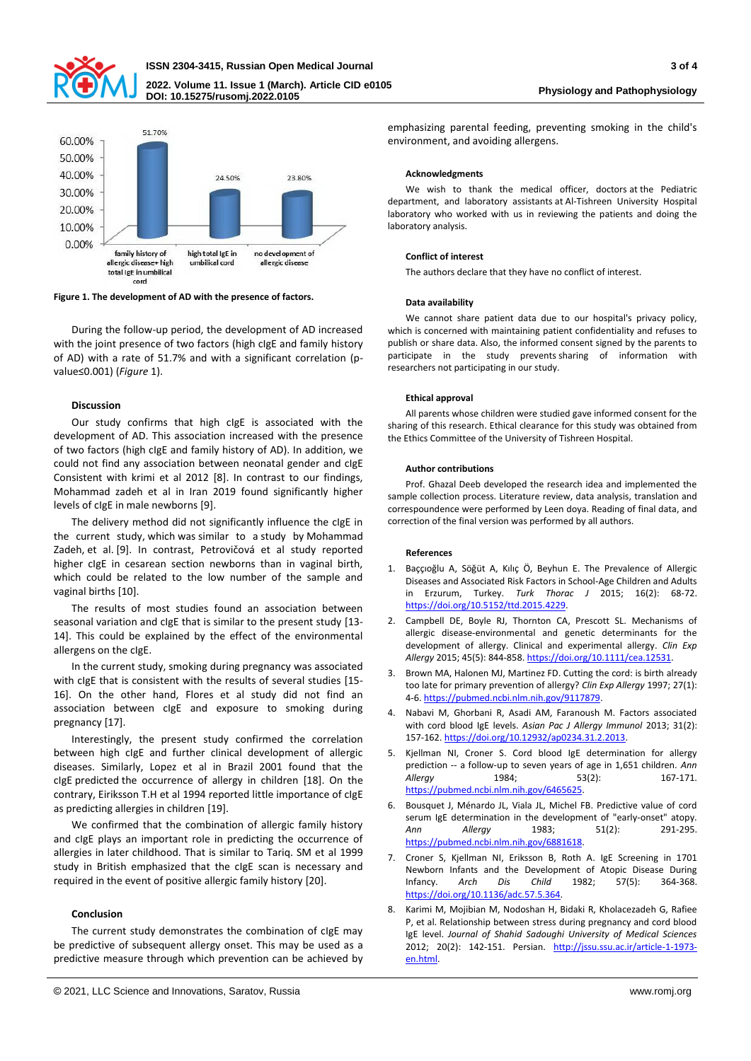

## **ISSN 2304-3415, Russian Open Medical Journal 3 of 4 2022. Volume 11. Issue 1 (March). Article CID e0105 DOI: 10.15275/rusomj.2022.0105**



**Figure 1. The development of AD with the presence of factors.**

During the follow-up period, the development of AD increased with the joint presence of two factors (high cIgE and family history of AD) with a rate of 51.7% and with a significant correlation (pvalue≤0.001) (*Figure* 1).

## **Discussion**

Our study confirms that high cIgE is associated with the development of AD. This association increased with the presence of two factors (high cIgE and family history of AD). In addition, we could not find any association between neonatal gender and cIgE Consistent with krimi et al 2012 [8]. In contrast to our findings, Mohammad zadeh et al in Iran 2019 found significantly higher levels of cIgE in male newborns [9].

The delivery method did not significantly influence the cIgE in the current study, which was similar to a study by Mohammad Zadeh, et al. [9]. In contrast, Petrovičová et al study reported higher cIgE in cesarean section newborns than in vaginal birth, which could be related to the low number of the sample and vaginal births [10].

The results of most studies found an association between seasonal variation and cIgE that is similar to the present study [13- 14]. This could be explained by the effect of the environmental allergens on the cIgE.

In the current study, smoking during pregnancy was associated with cIgE that is consistent with the results of several studies [15- 16]. On the other hand, Flores et al study did not find an association between cIgE and exposure to smoking during pregnancy [17].

Interestingly, the present study confirmed the correlation between high cIgE and further clinical development of allergic diseases. Similarly, Lopez et al in Brazil 2001 found that the cIgE predicted the occurrence of allergy in children [18]. On the contrary, Eiriksson T.H et al 1994 reported little importance of cIgE as predicting allergies in children [19].

We confirmed that the combination of allergic family history and cIgE plays an important role in predicting the occurrence of allergies in later childhood. That is similar to Tariq. SM et al 1999 study in British emphasized that the cIgE scan is necessary and required in the event of positive allergic family history [20].

## **Conclusion**

The current study demonstrates the combination of cIgE may be predictive of subsequent allergy onset. This may be used as a predictive measure through which prevention can be achieved by emphasizing parental feeding, preventing smoking in the child's environment, and avoiding allergens.

### **Acknowledgments**

We wish to thank the medical officer, doctors at the Pediatric department, and laboratory assistants at Al-Tishreen University Hospital laboratory who worked with us in reviewing the patients and doing the laboratory analysis.

### **Conflict of interest**

The authors declare that they have no conflict of interest.

#### **Data availability**

We cannot share patient data due to our hospital's privacy policy, which is concerned with maintaining patient confidentiality and refuses to publish or share data. Also, the informed consent signed by the parents to participate in the study prevents sharing of information with researchers not participating in our study.

#### **Ethical approval**

All parents whose children were studied gave informed consent for the sharing of this research. Ethical clearance for this study was obtained from the Ethics Committee of the University of Tishreen Hospital.

### **Author contributions**

Prof. Ghazal Deeb developed the research idea and implemented the sample collection process. Literature review, data analysis, translation and correspoundence were performed by Leen doya. Reading of final data, and correction of the final version was performed by all authors.

### **References**

- 1. Baççıoğlu A, Söğüt A, Kılıç Ö, Beyhun E. The Prevalence of Allergic Diseases and Associated Risk Factors in School-Age Children and Adults in Erzurum, Turkey. *Turk Thorac J* 2015; 16(2): 68-72. [https://doi.org/10.5152/ttd.2015.4229.](https://doi.org/10.5152/ttd.2015.4229)
- 2. Campbell DE, Boyle RJ, Thornton CA, Prescott SL. Mechanisms of allergic disease-environmental and genetic determinants for the development of allergy. Clinical and experimental allergy. *Clin Exp Allergy* 2015; 45(5): 844-858. [https://doi.org/10.1111/cea.12531.](https://doi.org/10.1111/cea.12531)
- 3. Brown MA, Halonen MJ, Martinez FD. Cutting the cord: is birth already too late for primary prevention of allergy? *Clin Exp Allergy* 1997; 27(1): 4-6[. https://pubmed.ncbi.nlm.nih.gov/9117879.](https://pubmed.ncbi.nlm.nih.gov/9117879)
- 4. Nabavi M, Ghorbani R, Asadi AM, Faranoush M. Factors associated with cord blood IgE levels. *Asian Pac J Allergy Immunol* 2013; 31(2): 157-162[. https://doi.org/10.12932/ap0234.31.2.2013.](https://doi.org/10.12932/ap0234.31.2.2013)
- 5. Kjellman NI, Croner S. Cord blood IgE determination for allergy prediction -- a follow-up to seven years of age in 1,651 children. *Ann Allergy* 1984; 53(2): 167-171. [https://pubmed.ncbi.nlm.nih.gov/6465625.](https://pubmed.ncbi.nlm.nih.gov/6465625)
- 6. Bousquet J, Ménardo JL, Viala JL, Michel FB. Predictive value of cord serum IgE determination in the development of "early-onset" atopy. *Ann Allergy* 1983; 51(2): 291-295. [https://pubmed.ncbi.nlm.nih.gov/6881618.](https://pubmed.ncbi.nlm.nih.gov/6881618)
- 7. Croner S, Kjellman NI, Eriksson B, Roth A. IgE Screening in 1701 Newborn Infants and the Development of Atopic Disease During Infancy. *Arch Dis Child* 1982; 57(5): 364-368. [https://doi.org/10.1136/adc.57.5.364.](https://doi.org/10.1136/adc.57.5.364)
- 8. Karimi M, Mojibian M, Nodoshan H, Bidaki R, Kholacezadeh G, Rafiee P, et al. Relationship between stress during pregnancy and cord blood IgE level. *Journal of Shahid Sadoughi University of Medical Sciences* 2012; 20(2): 142-151. Persian. [http://jssu.ssu.ac.ir/article-1-1973](http://jssu.ssu.ac.ir/article-1-1973-en.html) [en.html.](http://jssu.ssu.ac.ir/article-1-1973-en.html)